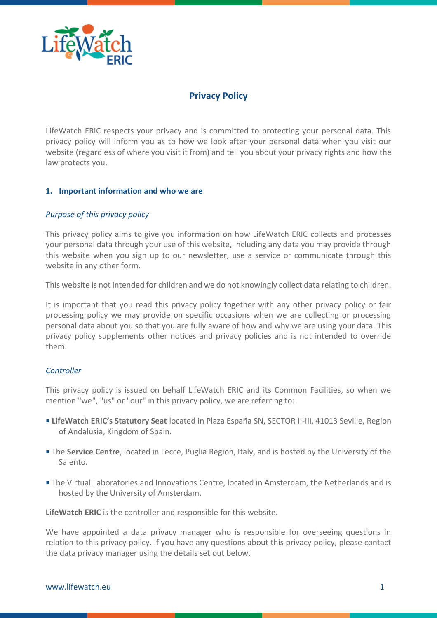

# **Privacy Policy**

LifeWatch ERIC respects your privacy and is committed to protecting your personal data. This privacy policy will inform you as to how we look after your personal data when you visit our website (regardless of where you visit it from) and tell you about your privacy rights and how the law protects you.

### **1. Important information and who we are**

### *Purpose of this privacy policy*

This privacy policy aims to give you information on how LifeWatch ERIC collects and processes your personal data through your use of this website, including any data you may provide through this website when you sign up to our newsletter, use a service or communicate through this website in any other form.

This website is not intended for children and we do not knowingly collect data relating to children.

It is important that you read this privacy policy together with any other privacy policy or fair processing policy we may provide on specific occasions when we are collecting or processing personal data about you so that you are fully aware of how and why we are using your data. This privacy policy supplements other notices and privacy policies and is not intended to override them.

### *Controller*

This privacy policy is issued on behalf LifeWatch ERIC and its Common Facilities, so when we mention "we", "us" or "our" in this privacy policy, we are referring to:

- **LifeWatch ERIC's Statutory Seat** located in Plaza España SN, SECTOR II-III, 41013 Seville, Region of Andalusia, Kingdom of Spain.
- The **Service Centre**, located in Lecce, Puglia Region, Italy, and is hosted by the University of the Salento.
- The Virtual Laboratories and Innovations Centre, located in Amsterdam, the Netherlands and is hosted by the University of Amsterdam.

**LifeWatch ERIC** is the controller and responsible for this website.

We have appointed a data privacy manager who is responsible for overseeing questions in relation to this privacy policy. If you have any questions about this privacy policy, please contact the data privacy manager using the details set out below.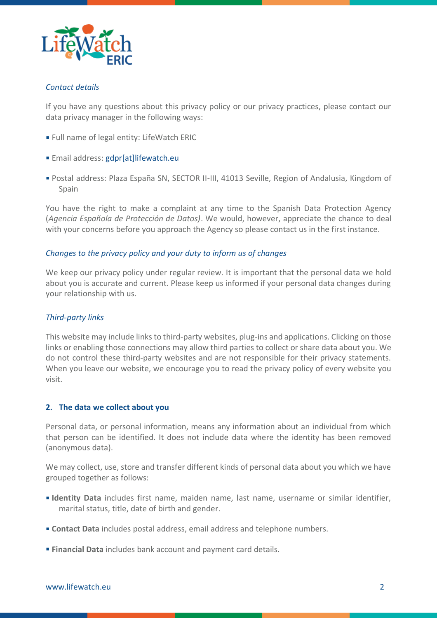

### *Contact details*

If you have any questions about this privacy policy or our privacy practices, please contact our data privacy manager in the following ways:

- **Full name of legal entity: LifeWatch ERIC**
- Email address: gdpr[at]lifewatch.eu
- Postal address: Plaza España SN, SECTOR II-III, 41013 Seville, Region of Andalusia, Kingdom of Spain

You have the right to make a complaint at any time to the Spanish Data Protection Agency (*Agencia Española de Protección de Datos)*. We would, however, appreciate the chance to deal with your concerns before you approach the Agency so please contact us in the first instance.

### *Changes to the privacy policy and your duty to inform us of changes*

We keep our privacy policy under regular review. It is important that the personal data we hold about you is accurate and current. Please keep us informed if your personal data changes during your relationship with us.

### *Third-party links*

This website may include links to third-party websites, plug-ins and applications. Clicking on those links or enabling those connections may allow third parties to collect or share data about you. We do not control these third-party websites and are not responsible for their privacy statements. When you leave our website, we encourage you to read the privacy policy of every website you visit.

### **2. The data we collect about you**

Personal data, or personal information, means any information about an individual from which that person can be identified. It does not include data where the identity has been removed (anonymous data).

We may collect, use, store and transfer different kinds of personal data about you which we have grouped together as follows:

- **Identity Data** includes first name, maiden name, last name, username or similar identifier, marital status, title, date of birth and gender.
- **Contact Data** includes postal address, email address and telephone numbers.
- **Financial Data** includes bank account and payment card details.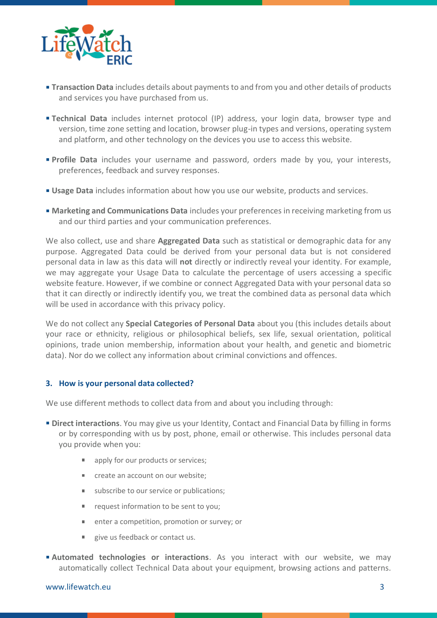

- **Transaction Data** includes details about payments to and from you and other details of products and services you have purchased from us.
- **Technical Data** includes internet protocol (IP) address, your login data, browser type and version, time zone setting and location, browser plug-in types and versions, operating system and platform, and other technology on the devices you use to access this website.
- **Profile Data** includes your username and password, orders made by you, your interests, preferences, feedback and survey responses.
- **Usage Data** includes information about how you use our website, products and services.
- **Marketing and Communications Data** includes your preferences in receiving marketing from us and our third parties and your communication preferences.

We also collect, use and share **Aggregated Data** such as statistical or demographic data for any purpose. Aggregated Data could be derived from your personal data but is not considered personal data in law as this data will **not** directly or indirectly reveal your identity. For example, we may aggregate your Usage Data to calculate the percentage of users accessing a specific website feature. However, if we combine or connect Aggregated Data with your personal data so that it can directly or indirectly identify you, we treat the combined data as personal data which will be used in accordance with this privacy policy.

We do not collect any **Special Categories of Personal Data** about you (this includes details about your race or ethnicity, religious or philosophical beliefs, sex life, sexual orientation, political opinions, trade union membership, information about your health, and genetic and biometric data). Nor do we collect any information about criminal convictions and offences.

### **3. How is your personal data collected?**

We use different methods to collect data from and about you including through:

- **Direct interactions**. You may give us your Identity, Contact and Financial Data by filling in forms or by corresponding with us by post, phone, email or otherwise. This includes personal data you provide when you:
	- apply for our products or services;  $\mathbf{u}$  .
	- **COLLEGE** create an account on our website;
	- $\mathbf{u}$  . subscribe to our service or publications;
	- request information to be sent to you;
	- enter a competition, promotion or survey; or
	- $\mathbf{r}$ give us feedback or contact us.
- **Automated technologies or interactions**. As you interact with our website, we may automatically collect Technical Data about your equipment, browsing actions and patterns.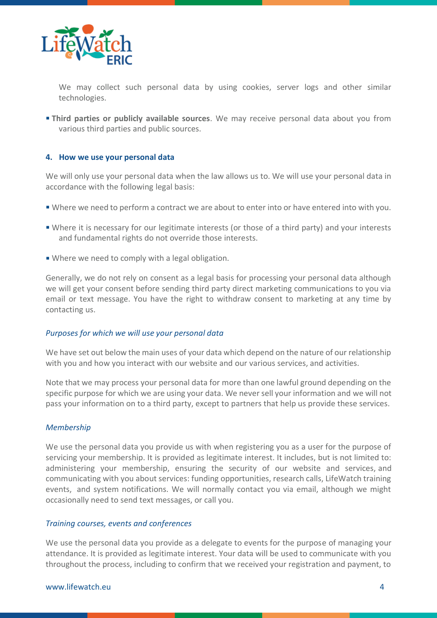

We may collect such personal data by using cookies, server logs and other similar technologies.

**Third parties or publicly available sources**. We may receive personal data about you from various third parties and public sources.

### **4. How we use your personal data**

We will only use your personal data when the law allows us to. We will use your personal data in accordance with the following legal basis:

- Where we need to perform a contract we are about to enter into or have entered into with you.
- Where it is necessary for our legitimate interests (or those of a third party) and your interests and fundamental rights do not override those interests.
- Where we need to comply with a legal obligation.

Generally, we do not rely on consent as a legal basis for processing your personal data although we will get your consent before sending third party direct marketing communications to you via email or text message. You have the right to withdraw consent to marketing at any time by contacting us.

#### *Purposes for which we will use your personal data*

We have set out below the main uses of your data which depend on the nature of our relationship with you and how you interact with our website and our various services, and activities.

Note that we may process your personal data for more than one lawful ground depending on the specific purpose for which we are using your data. We never sell your information and we will not pass your information on to a third party, except to partners that help us provide these services.

#### *Membership*

We use the personal data you provide us with when registering you as a user for the purpose of servicing your membership. It is provided as legitimate interest. It includes, but is not limited to: administering your membership, ensuring the security of our website and services, and communicating with you about services: funding opportunities, research calls, LifeWatch training events, and system notifications. We will normally contact you via email, although we might occasionally need to send text messages, or call you.

#### *Training courses, events and conferences*

We use the personal data you provide as a delegate to events for the purpose of managing your attendance. It is provided as legitimate interest. Your data will be used to communicate with you throughout the process, including to confirm that we received your registration and payment, to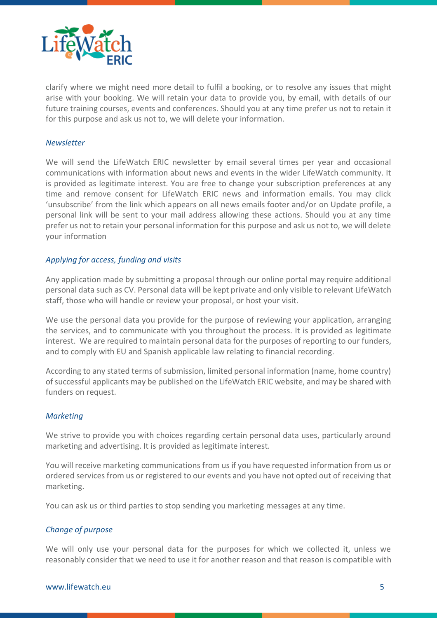

clarify where we might need more detail to fulfil a booking, or to resolve any issues that might arise with your booking. We will retain your data to provide you, by email, with details of our future training courses, events and conferences. Should you at any time prefer us not to retain it for this purpose and ask us not to, we will delete your information.

### *Newsletter*

We will send the LifeWatch ERIC newsletter by email several times per year and occasional communications with information about news and events in the wider LifeWatch community. It is provided as legitimate interest. You are free to change your subscription preferences at any time and remove consent for LifeWatch ERIC news and information emails. You may click 'unsubscribe' from the link which appears on all news emails footer and/or on Update profile, a personal link will be sent to your mail address allowing these actions. Should you at any time prefer us not to retain your personal information for this purpose and ask us not to, we will delete your information

### *Applying for access, funding and visits*

Any application made by submitting a proposal through our online portal may require additional personal data such as CV. Personal data will be kept private and only visible to relevant LifeWatch staff, those who will handle or review your proposal, or host your visit.

We use the personal data you provide for the purpose of reviewing your application, arranging the services, and to communicate with you throughout the process. It is provided as legitimate interest. We are required to maintain personal data for the purposes of reporting to our funders, and to comply with EU and Spanish applicable law relating to financial recording.

According to any stated terms of submission, limited personal information (name, home country) of successful applicants may be published on the LifeWatch ERIC website, and may be shared with funders on request.

#### *Marketing*

We strive to provide you with choices regarding certain personal data uses, particularly around marketing and advertising. It is provided as legitimate interest.

You will receive marketing communications from us if you have requested information from us or ordered services from us or registered to our events and you have not opted out of receiving that marketing.

You can ask us or third parties to stop sending you marketing messages at any time.

#### *Change of purpose*

We will only use your personal data for the purposes for which we collected it, unless we reasonably consider that we need to use it for another reason and that reason is compatible with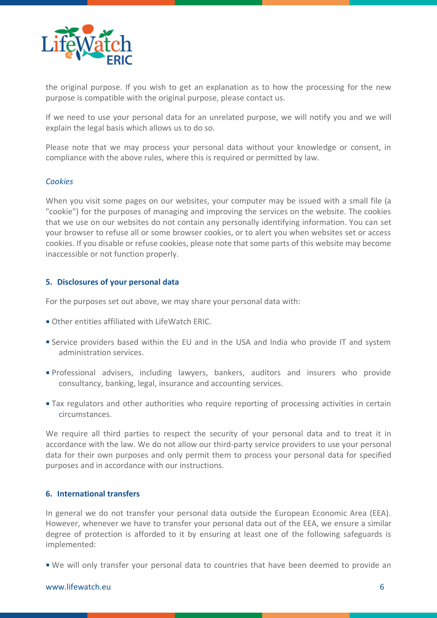

the original purpose. If you wish to get an explanation as to how the processing for the new purpose is compatible with the original purpose, please contact us.

If we need to use your personal data for an unrelated purpose, we will notify you and we will explain the legal basis which allows us to do so.

Please note that we may process your personal data without your knowledge or consent, in compliance with the above rules, where this is required or permitted by law.

### *Cookies*

When you visit some pages on our websites, your computer may be issued with a small file (a "cookie") for the purposes of managing and improving the services on the website. The cookies that we use on our websites do not contain any personally identifying information. You can set your browser to refuse all or some browser cookies, or to alert you when websites set or access cookies. If you disable or refuse cookies, please note that some parts of this website may become inaccessible or not function properly.

### **5. Disclosures of your personal data**

For the purposes set out above, we may share your personal data with:

- Other entities affiliated with LifeWatch ERIC.
- Service providers based within the EU and in the USA and India who provide IT and system administration services.
- Professional advisers, including lawyers, bankers, auditors and insurers who provide consultancy, banking, legal, insurance and accounting services.
- Tax regulators and other authorities who require reporting of processing activities in certain circumstances.

We require all third parties to respect the security of your personal data and to treat it in accordance with the law. We do not allow our third-party service providers to use your personal data for their own purposes and only permit them to process your personal data for specified purposes and in accordance with our instructions.

### **6. International transfers**

In general we do not transfer your personal data outside the European Economic Area (EEA). However, whenever we have to transfer your personal data out of the EEA, we ensure a similar degree of protection is afforded to it by ensuring at least one of the following safeguards is implemented:

We will only transfer your personal data to countries that have been deemed to provide an

#### [www.lifewatch.eu](http://www.lifewatch.eu/) 6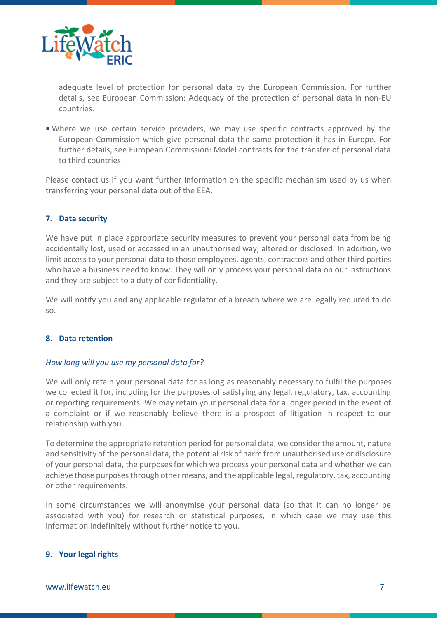

adequate level of protection for personal data by the European Commission. For further details, see European Commission: Adequacy of the protection of personal data in non-EU countries.

Where we use certain service providers, we may use specific contracts approved by the European Commission which give personal data the same protection it has in Europe. For further details, see European Commission: Model contracts for the transfer of personal data to third countries.

Please contact us if you want further information on the specific mechanism used by us when transferring your personal data out of the EEA.

# **7. Data security**

We have put in place appropriate security measures to prevent your personal data from being accidentally lost, used or accessed in an unauthorised way, altered or disclosed. In addition, we limit access to your personal data to those employees, agents, contractors and other third parties who have a business need to know. They will only process your personal data on our instructions and they are subject to a duty of confidentiality.

We will notify you and any applicable regulator of a breach where we are legally required to do so.

### **8. Data retention**

### *How long will you use my personal data for?*

We will only retain your personal data for as long as reasonably necessary to fulfil the purposes we collected it for, including for the purposes of satisfying any legal, regulatory, tax, accounting or reporting requirements. We may retain your personal data for a longer period in the event of a complaint or if we reasonably believe there is a prospect of litigation in respect to our relationship with you.

To determine the appropriate retention period for personal data, we consider the amount, nature and sensitivity of the personal data, the potential risk of harm from unauthorised use or disclosure of your personal data, the purposes for which we process your personal data and whether we can achieve those purposes through other means, and the applicable legal, regulatory, tax, accounting or other requirements.

In some circumstances we will anonymise your personal data (so that it can no longer be associated with you) for research or statistical purposes, in which case we may use this information indefinitely without further notice to you.

### **9. Your legal rights**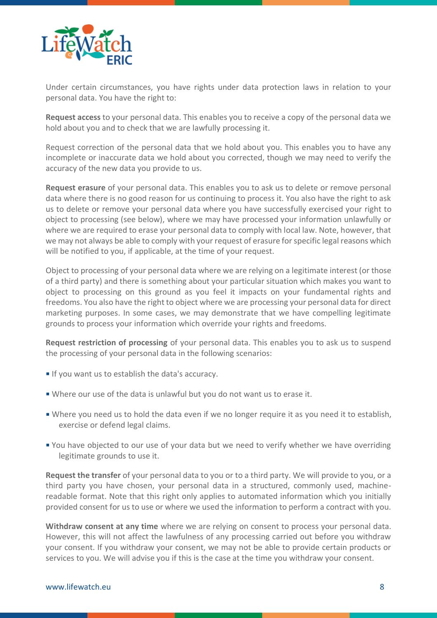

Under certain circumstances, you have rights under data protection laws in relation to your personal data. You have the right to:

**Request access** to your personal data. This enables you to receive a copy of the personal data we hold about you and to check that we are lawfully processing it.

Request correction of the personal data that we hold about you. This enables you to have any incomplete or inaccurate data we hold about you corrected, though we may need to verify the accuracy of the new data you provide to us.

**Request erasure** of your personal data. This enables you to ask us to delete or remove personal data where there is no good reason for us continuing to process it. You also have the right to ask us to delete or remove your personal data where you have successfully exercised your right to object to processing (see below), where we may have processed your information unlawfully or where we are required to erase your personal data to comply with local law. Note, however, that we may not always be able to comply with your request of erasure for specific legal reasons which will be notified to you, if applicable, at the time of your request.

Object to processing of your personal data where we are relying on a legitimate interest (or those of a third party) and there is something about your particular situation which makes you want to object to processing on this ground as you feel it impacts on your fundamental rights and freedoms. You also have the right to object where we are processing your personal data for direct marketing purposes. In some cases, we may demonstrate that we have compelling legitimate grounds to process your information which override your rights and freedoms.

**Request restriction of processing** of your personal data. This enables you to ask us to suspend the processing of your personal data in the following scenarios:

- If you want us to establish the data's accuracy.
- Where our use of the data is unlawful but you do not want us to erase it.
- Where you need us to hold the data even if we no longer require it as you need it to establish, exercise or defend legal claims.
- You have objected to our use of your data but we need to verify whether we have overriding legitimate grounds to use it.

**Request the transfer** of your personal data to you or to a third party. We will provide to you, or a third party you have chosen, your personal data in a structured, commonly used, machinereadable format. Note that this right only applies to automated information which you initially provided consent for us to use or where we used the information to perform a contract with you.

**Withdraw consent at any time** where we are relying on consent to process your personal data. However, this will not affect the lawfulness of any processing carried out before you withdraw your consent. If you withdraw your consent, we may not be able to provide certain products or services to you. We will advise you if this is the case at the time you withdraw your consent.